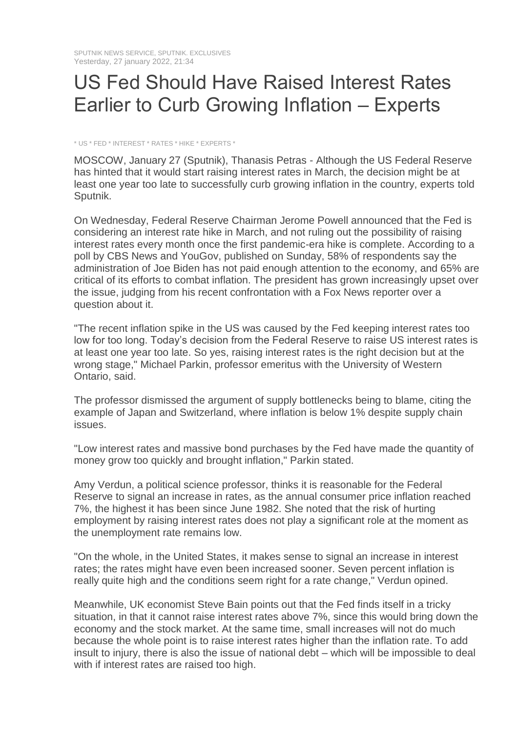## US Fed Should Have Raised Interest Rates Earlier to Curb Growing Inflation – Experts

\* US \* FED \* INTEREST \* RATES \* HIKE \* EXPERTS \*

MOSCOW, January 27 (Sputnik), Thanasis Petras - Although the US Federal Reserve has hinted that it would start raising interest rates in March, the decision might be at least one year too late to successfully curb growing inflation in the country, experts told Sputnik.

On Wednesday, Federal Reserve Chairman Jerome Powell announced that the Fed is considering an interest rate hike in March, and not ruling out the possibility of raising interest rates every month once the first pandemic-era hike is complete. According to a poll by CBS News and YouGov, published on Sunday, 58% of respondents say the administration of Joe Biden has not paid enough attention to the economy, and 65% are critical of its efforts to combat inflation. The president has grown increasingly upset over the issue, judging from his recent confrontation with a Fox News reporter over a question about it.

"The recent inflation spike in the US was caused by the Fed keeping interest rates too low for too long. Today's decision from the Federal Reserve to raise US interest rates is at least one year too late. So yes, raising interest rates is the right decision but at the wrong stage," Michael Parkin, professor emeritus with the University of Western Ontario, said.

The professor dismissed the argument of supply bottlenecks being to blame, citing the example of Japan and Switzerland, where inflation is below 1% despite supply chain issues.

"Low interest rates and massive bond purchases by the Fed have made the quantity of money grow too quickly and brought inflation," Parkin stated.

Amy Verdun, a political science professor, thinks it is reasonable for the Federal Reserve to signal an increase in rates, as the annual consumer price inflation reached 7%, the highest it has been since June 1982. She noted that the risk of hurting employment by raising interest rates does not play a significant role at the moment as the unemployment rate remains low.

"On the whole, in the United States, it makes sense to signal an increase in interest rates; the rates might have even been increased sooner. Seven percent inflation is really quite high and the conditions seem right for a rate change," Verdun opined.

Meanwhile, UK economist Steve Bain points out that the Fed finds itself in a tricky situation, in that it cannot raise interest rates above 7%, since this would bring down the economy and the stock market. At the same time, small increases will not do much because the whole point is to raise interest rates higher than the inflation rate. To add insult to injury, there is also the issue of national debt – which will be impossible to deal with if interest rates are raised too high.